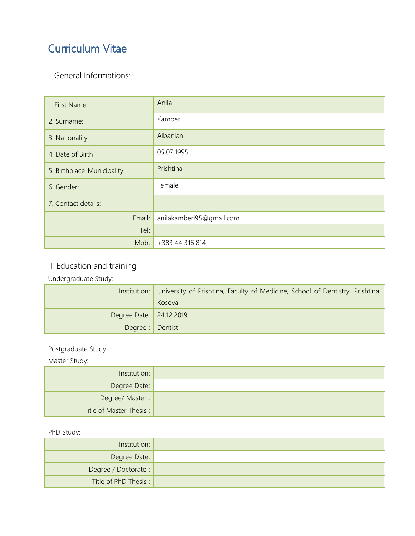# Curriculum Vitae

### I. General Informations:

| 1. First Name:             | Anila                    |
|----------------------------|--------------------------|
| 2. Surname:                | Kamberi                  |
| 3. Nationality:            | Albanian                 |
| 4. Date of Birth           | 05.07.1995               |
| 5. Birthplace-Municipality | Prishtina                |
| 6. Gender:                 | Female                   |
| 7. Contact details:        |                          |
| Email:                     | anilakamberi95@gmail.com |
| Tel:                       |                          |
| Mob:                       | +383 44 316 814          |

## II. Education and training

### Undergraduate Study:

|                           | Institution: University of Prishtina, Faculty of Medicine, School of Dentistry, Prishtina,<br>Kosova |
|---------------------------|------------------------------------------------------------------------------------------------------|
| Degree Date:   24.12.2019 |                                                                                                      |
| Degree : Dentist          |                                                                                                      |

#### Postgraduate Study:

#### Master Study:

| Institution:             |  |
|--------------------------|--|
| Degree Date:             |  |
| Degree/Master:           |  |
| Title of Master Thesis : |  |

#### PhD Study:

| Institution:          |  |
|-----------------------|--|
| Degree Date:          |  |
| Degree / Doctorate :  |  |
| Title of PhD Thesis : |  |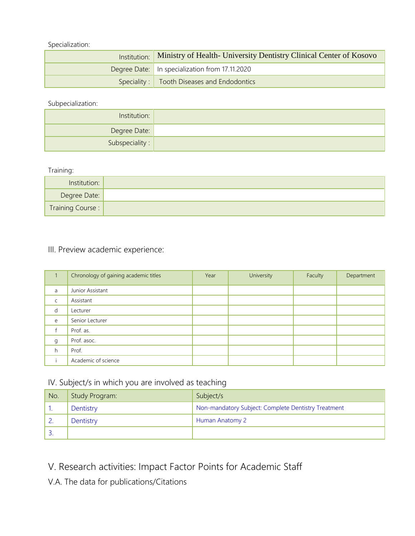Specialization:

| Institution: Ministry of Health- University Dentistry Clinical Center of Kosovo |
|---------------------------------------------------------------------------------|
| Degree Date:   In specialization from 17.11.2020                                |
| Speciality :   Tooth Diseases and Endodontics                                   |

Subpecialization:

| Institution:            |  |
|-------------------------|--|
| Degree Date:            |  |
| Subspeciality : $\vert$ |  |

Training:

| Institution:     |  |
|------------------|--|
| Degree Date:     |  |
| Training Course: |  |

#### III. Preview academic experience:

|              | Chronology of gaining academic titles | Year | University | Faculty | Department |
|--------------|---------------------------------------|------|------------|---------|------------|
| a            | Junior Assistant                      |      |            |         |            |
| $\mathsf{C}$ | Assistant                             |      |            |         |            |
| d            | Lecturer                              |      |            |         |            |
| e            | Senior Lecturer                       |      |            |         |            |
|              | Prof. as.                             |      |            |         |            |
| g            | Prof. asoc.                           |      |            |         |            |
| h            | Prof.                                 |      |            |         |            |
|              | Academic of science                   |      |            |         |            |

### IV. Subject/s in which you are involved as teaching

| No. | Study Program: | Subject/s                                           |
|-----|----------------|-----------------------------------------------------|
|     | Dentistry      | Non-mandatory Subject: Complete Dentistry Treatment |
|     | Dentistry      | Human Anatomy 2                                     |
|     |                |                                                     |

V. Research activities: Impact Factor Points for Academic Staff

V.A. The data for publications/Citations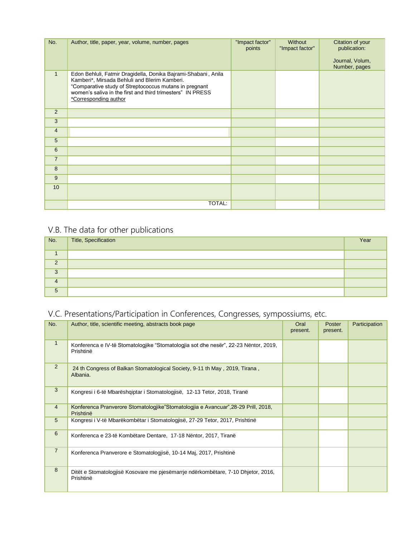| No.            | Author, title, paper, year, volume, number, pages                                                                                                                                                                                                                | "Impact factor"<br>points | Without<br>"Impact factor" | Citation of your<br>publication:<br>Journal, Volum,<br>Number, pages |
|----------------|------------------------------------------------------------------------------------------------------------------------------------------------------------------------------------------------------------------------------------------------------------------|---------------------------|----------------------------|----------------------------------------------------------------------|
| $\mathbf{1}$   | Edon Behluli, Fatmir Dragidella, Donika Bajrami-Shabani, Anila<br>Kamberi*, Mirsada Behluli and Blerim Kamberi.<br>"Comparative study of Streptococcus mutans in pregnant<br>women's saliva in the first and third trimesters" IN PRESS<br>*Corresponding author |                           |                            |                                                                      |
| 2              |                                                                                                                                                                                                                                                                  |                           |                            |                                                                      |
| 3              |                                                                                                                                                                                                                                                                  |                           |                            |                                                                      |
| $\overline{4}$ |                                                                                                                                                                                                                                                                  |                           |                            |                                                                      |
| 5              |                                                                                                                                                                                                                                                                  |                           |                            |                                                                      |
| 6              |                                                                                                                                                                                                                                                                  |                           |                            |                                                                      |
| $\overline{7}$ |                                                                                                                                                                                                                                                                  |                           |                            |                                                                      |
| 8              |                                                                                                                                                                                                                                                                  |                           |                            |                                                                      |
| 9              |                                                                                                                                                                                                                                                                  |                           |                            |                                                                      |
| 10             |                                                                                                                                                                                                                                                                  |                           |                            |                                                                      |
|                | TOTAL:                                                                                                                                                                                                                                                           |                           |                            |                                                                      |

## V.B. The data for other publications

| No.      | Title, Specification | Year |
|----------|----------------------|------|
|          |                      |      |
| $\Omega$ |                      |      |
| 3        |                      |      |
| 4        |                      |      |
| 5        |                      |      |

## V.C. Presentations/Participation in Conferences, Congresses, sympossiums, etc.

| No.             | Author, title, scientific meeting, abstracts book page                                            | Oral<br>present. | Poster<br>present. | Participation |
|-----------------|---------------------------------------------------------------------------------------------------|------------------|--------------------|---------------|
| $\mathbf{1}$    | Konferenca e IV-të Stomatologjike "Stomatologjia sot dhe nesër", 22-23 Nëntor, 2019,<br>Prishtinë |                  |                    |               |
| $\overline{2}$  | 24 th Congress of Balkan Stomatological Society, 9-11 th May, 2019, Tirana,<br>Albania.           |                  |                    |               |
| 3               | Kongresi i 6-të Mbarëshqiptar i Stomatologjisë, 12-13 Tetor, 2018, Tiranë                         |                  |                    |               |
| $\overline{4}$  | Konferenca Pranverore Stomatologjike"Stomatologjia e Avancuar",28-29 Prill, 2018,<br>Prishtinë    |                  |                    |               |
| $5\overline{)}$ | Kongresi i V-të Mbarëkombëtar i Stomatologjisë, 27-29 Tetor, 2017, Prishtinë                      |                  |                    |               |
| 6               | Konferenca e 23-të Kombëtare Dentare, 17-18 Nëntor, 2017, Tiranë                                  |                  |                    |               |
| $\overline{7}$  | Konferenca Pranverore e Stomatologjisë, 10-14 Maj, 2017, Prishtinë                                |                  |                    |               |
| 8               | Ditët e Stomatologjisë Kosovare me pjesëmarrje ndërkombëtare, 7-10 Dhjetor, 2016,<br>Prishtinë    |                  |                    |               |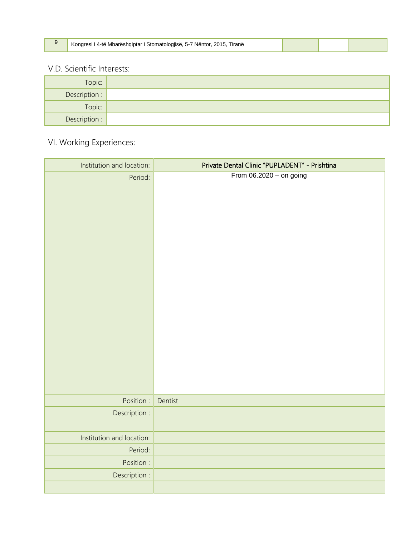|  | Kongresi i 4-të Mbarëshqiptar i Stomatologjisë, 5-7 Nëntor, 2015, Tiranë |  |  |  |
|--|--------------------------------------------------------------------------|--|--|--|
|--|--------------------------------------------------------------------------|--|--|--|

### V.D. Scientific Interests:

Г

| Topic:        |  |
|---------------|--|
| Description : |  |
| Topic:        |  |
| Description : |  |

## VI. Working Experiences:

| Institution and location: | Private Dental Clinic "PUPLADENT" - Prishtina |
|---------------------------|-----------------------------------------------|
| Period:                   | From $06.2020 -$ on going                     |
| Position :                | Dentist                                       |
| Description :             |                                               |
| Institution and location: |                                               |
| Period:                   |                                               |
| Position :                |                                               |
| Description :             |                                               |
|                           |                                               |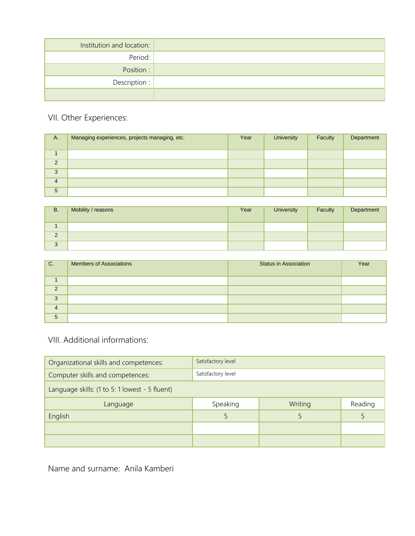| Institution and location: |  |
|---------------------------|--|
| Period:                   |  |
| Position:                 |  |
| Description :             |  |
|                           |  |

## VII. Other Experiences:

| Α.             | Managing experiences, projects managing, etc. | Year | <b>University</b> | Faculty | Department |
|----------------|-----------------------------------------------|------|-------------------|---------|------------|
|                |                                               |      |                   |         |            |
| 2              |                                               |      |                   |         |            |
| 3              |                                               |      |                   |         |            |
|                |                                               |      |                   |         |            |
| $\overline{4}$ |                                               |      |                   |         |            |
| 5              |                                               |      |                   |         |            |

| <b>B.</b>   | Mobility / reasons | Year | <b>University</b> | Faculty | Department |
|-------------|--------------------|------|-------------------|---------|------------|
|             |                    |      |                   |         |            |
| $\sim$<br>∠ |                    |      |                   |         |            |
| 3           |                    |      |                   |         |            |

| l C.           | <b>Members of Associations</b> | <b>Status in Association</b> | Year |
|----------------|--------------------------------|------------------------------|------|
|                |                                |                              |      |
| $\Omega$       |                                |                              |      |
| 3              |                                |                              |      |
| $\overline{4}$ |                                |                              |      |
| 5              |                                |                              |      |

### VIII. Additional informations:

| Satisfactory level<br>Organizational skills and competences: |                    |         |         |  |
|--------------------------------------------------------------|--------------------|---------|---------|--|
| Computer skills and competences:                             | Satisfactory level |         |         |  |
| Language skills: (1 to 5: 1 lowest - 5 fluent)               |                    |         |         |  |
| Language                                                     | Speaking           | Writing | Reading |  |
| English                                                      |                    |         |         |  |
|                                                              |                    |         |         |  |
|                                                              |                    |         |         |  |

Name and surname: Anila Kamberi